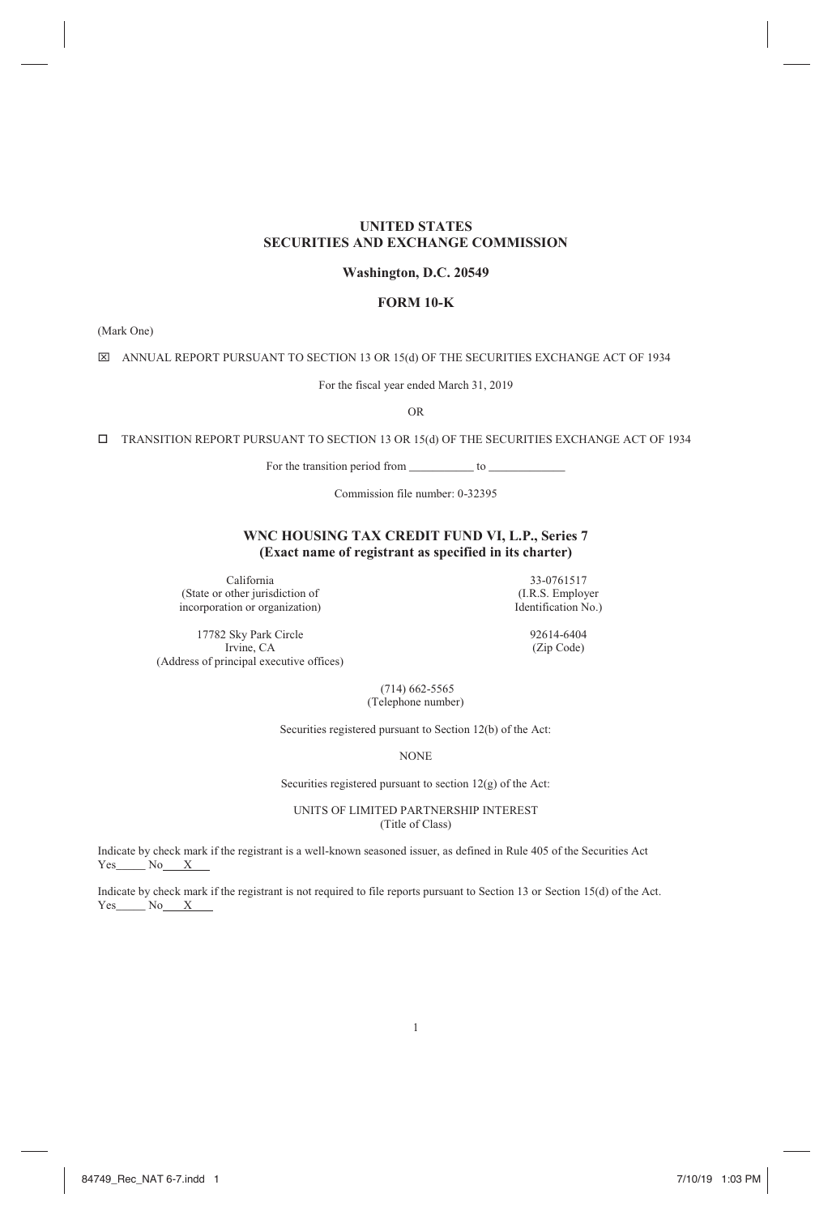# **UNITED STATES SECURITIES AND EXCHANGE COMMISSION**

# **Washington, D.C. 20549**

# **FORM 10-K**

(Mark One)

 $\boxtimes$  ANNUAL REPORT PURSUANT TO SECTION 13 OR 15(d) OF THE SECURITIES EXCHANGE ACT OF 1934

For the fiscal year ended March 31, 2019

OR

TRANSITION REPORT PURSUANT TO SECTION 13 OR 15(d) OF THE SECURITIES EXCHANGE ACT OF 1934

For the transition period from \_\_\_\_\_\_\_\_\_\_\_ to \_\_\_\_\_\_\_\_\_\_\_\_\_

Commission file number: 0-32395

# **WNC HOUSING TAX CREDIT FUND VI, L.P., Series 7 (Exact name of registrant as specified in its charter)**

California 33-0761517<br>
other jurisdiction of (I.R.S. Employer (State or other jurisdiction of (I.R.S. Employer incorporation or organization) leads and the left fication No.) incorporation or organization)

(Zip Code)

17782 Sky Park Circle 92614-6404<br>Irvine, CA (Zip Code) (Address of principal executive offices)

> (714) 662-5565 (Telephone number)

Securities registered pursuant to Section 12(b) of the Act:

NONE

Securities registered pursuant to section 12(g) of the Act:

UNITS OF LIMITED PARTNERSHIP INTEREST (Title of Class)

Indicate by check mark if the registrant is a well-known seasoned issuer, as defined in Rule 405 of the Securities Act  $Yes$  No  $X$ 

Indicate by check mark if the registrant is not required to file reports pursuant to Section 13 or Section 15(d) of the Act.  $Yes$  No  $X$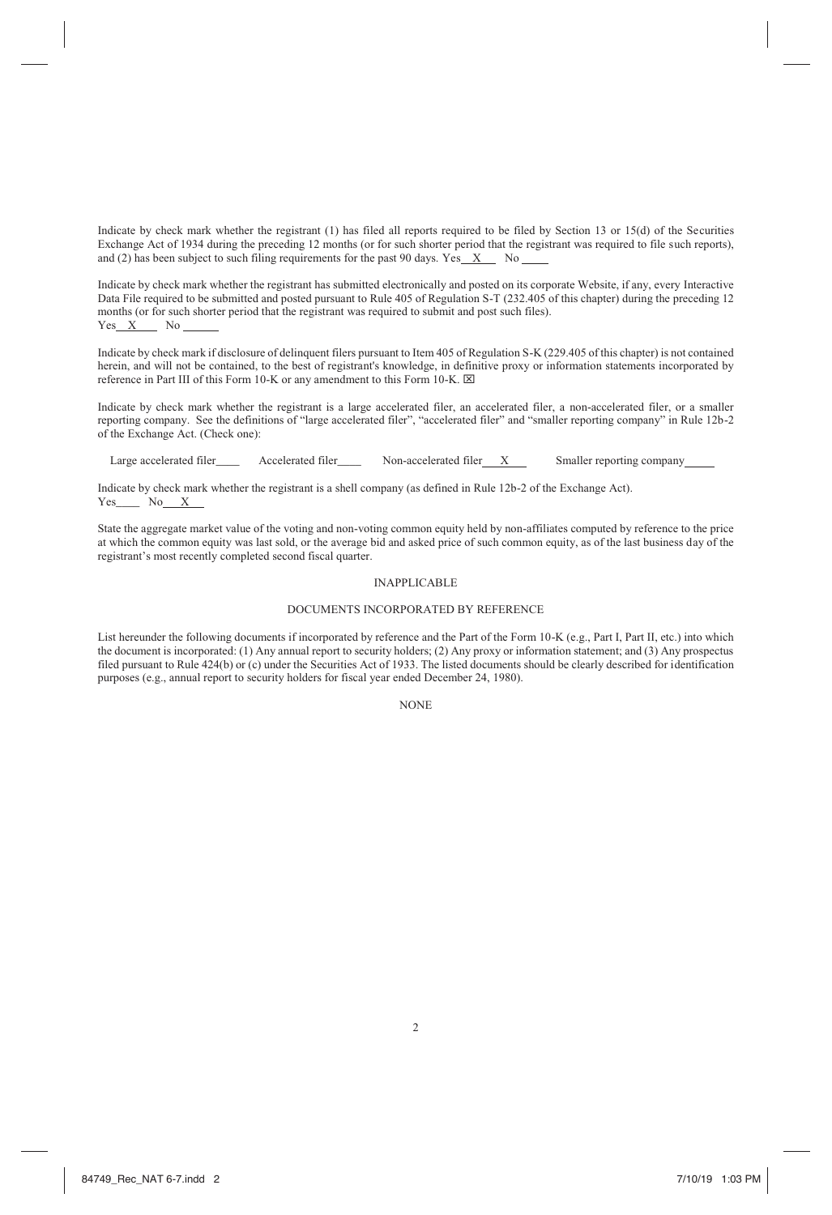Indicate by check mark whether the registrant (1) has filed all reports required to be filed by Section 13 or 15(d) of the Securities Exchange Act of 1934 during the preceding 12 months (or for such shorter period that the registrant was required to file such reports), and (2) has been subject to such filing requirements for the past 90 days. Yes  $X$  No

Indicate by check mark whether the registrant has submitted electronically and posted on its corporate Website, if any, every Interactive Data File required to be submitted and posted pursuant to Rule 405 of Regulation S-T (232.405 of this chapter) during the preceding 12 months (or for such shorter period that the registrant was required to submit and post such files).<br>
Yes X No  $Yes X$ 

Indicate by check mark if disclosure of delinquent filers pursuant to Item 405 of Regulation S-K (229.405 of this chapter) is not contained herein, and will not be contained, to the best of registrant's knowledge, in definitive proxy or information statements incorporated by reference in Part III of this Form 10-K or any amendment to this Form 10-K.  $\boxtimes$ 

Indicate by check mark whether the registrant is a large accelerated filer, an accelerated filer, a non-accelerated filer, or a smaller reporting company. See the definitions of "large accelerated filer", "accelerated filer" and "smaller reporting company" in Rule 12b-2 of the Exchange Act. (Check one):

Large accelerated filer\_\_\_\_ Accelerated filer\_\_\_\_ Non-accelerated filer X Smaller reporting company\_

Indicate by check mark whether the registrant is a shell company (as defined in Rule 12b-2 of the Exchange Act). Yes\_\_\_\_ No X

State the aggregate market value of the voting and non-voting common equity held by non-affiliates computed by reference to the price at which the common equity was last sold, or the average bid and asked price of such common equity, as of the last business day of the registrant's most recently completed second fiscal quarter.

### INAPPLICABLE

### DOCUMENTS INCORPORATED BY REFERENCE

List hereunder the following documents if incorporated by reference and the Part of the Form 10-K (e.g., Part I, Part II, etc.) into which the document is incorporated: (1) Any annual report to security holders; (2) Any proxy or information statement; and (3) Any prospectus filed pursuant to Rule 424(b) or (c) under the Securities Act of 1933. The listed documents should be clearly described for identification purposes (e.g., annual report to security holders for fiscal year ended December 24, 1980).

**NONE** 

 $\overline{2}$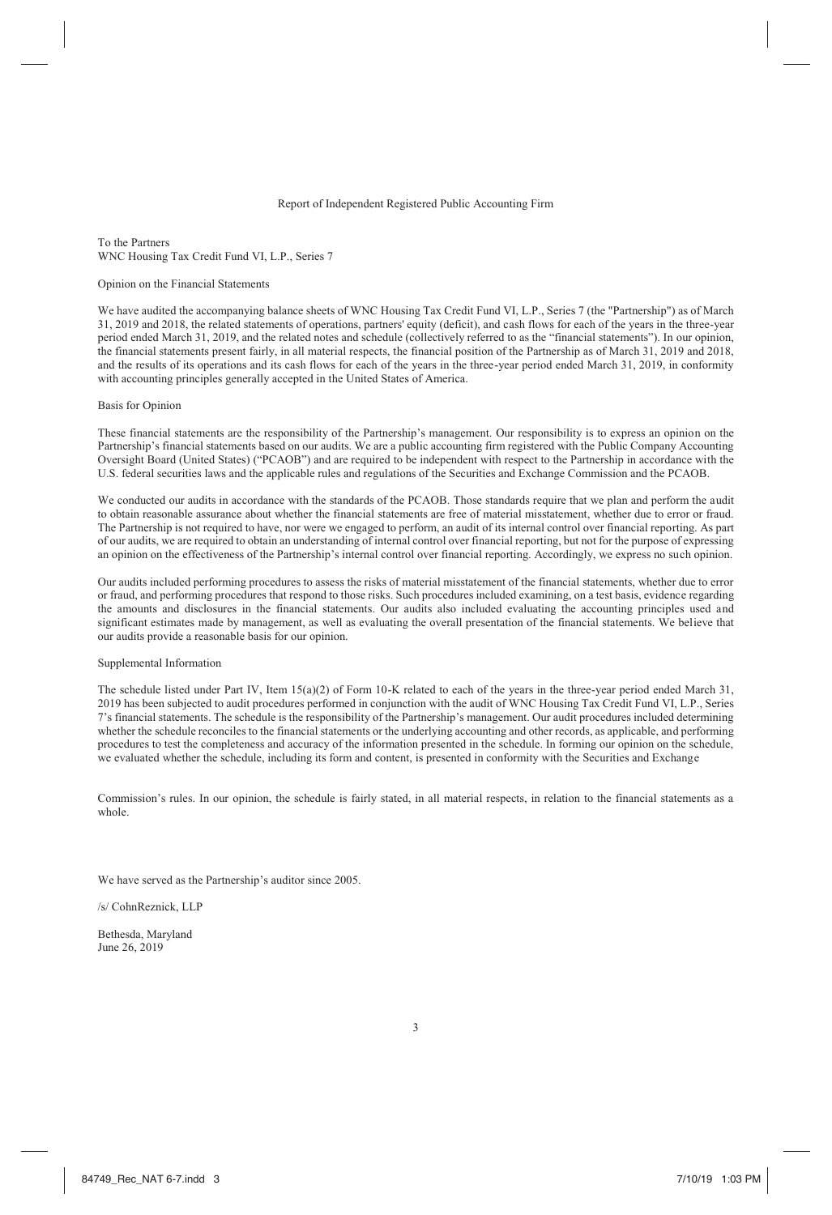#### Report of Independent Registered Public Accounting Firm

To the Partners WNC Housing Tax Credit Fund VI, L.P., Series 7

#### Opinion on the Financial Statements

We have audited the accompanying balance sheets of WNC Housing Tax Credit Fund VI, L.P., Series 7 (the "Partnership") as of March 31, 2019 and 2018, the related statements of operations, partners' equity (deficit), and cash flows for each of the years in the three-year period ended March 31, 2019, and the related notes and schedule (collectively referred to as the "financial statements"). In our opinion, the financial statements present fairly, in all material respects, the financial position of the Partnership as of March 31, 2019 and 2018, and the results of its operations and its cash flows for each of the years in the three-year period ended March 31, 2019, in conformity with accounting principles generally accepted in the United States of America.

#### Basis for Opinion

These financial statements are the responsibility of the Partnership's management. Our responsibility is to express an opinion on the Partnership's financial statements based on our audits. We are a public accounting firm registered with the Public Company Accounting Oversight Board (United States) ("PCAOB") and are required to be independent with respect to the Partnership in accordance with the U.S. federal securities laws and the applicable rules and regulations of the Securities and Exchange Commission and the PCAOB.

We conducted our audits in accordance with the standards of the PCAOB. Those standards require that we plan and perform the audit to obtain reasonable assurance about whether the financial statements are free of material misstatement, whether due to error or fraud. The Partnership is not required to have, nor were we engaged to perform, an audit of its internal control over financial reporting. As part of our audits, we are required to obtain an understanding of internal control over financial reporting, but not for the purpose of expressing an opinion on the effectiveness of the Partnership's internal control over financial reporting. Accordingly, we express no such opinion.

Our audits included performing procedures to assess the risks of material misstatement of the financial statements, whether due to error or fraud, and performing procedures that respond to those risks. Such procedures included examining, on a test basis, evidence regarding the amounts and disclosures in the financial statements. Our audits also included evaluating the accounting principles used and significant estimates made by management, as well as evaluating the overall presentation of the financial statements. We believe that our audits provide a reasonable basis for our opinion.

#### Supplemental Information

The schedule listed under Part IV, Item 15(a)(2) of Form 10-K related to each of the years in the three-year period ended March 31, 2019 has been subjected to audit procedures performed in conjunction with the audit of WNC Housing Tax Credit Fund VI, L.P., Series 7's financial statements. The schedule is the responsibility of the Partnership's management. Our audit procedures included determining whether the schedule reconciles to the financial statements or the underlying accounting and other records, as applicable, and performing procedures to test the completeness and accuracy of the information presented in the schedule. In forming our opinion on the schedule, we evaluated whether the schedule, including its form and content, is presented in conformity with the Securities and Exchange

Commission's rules. In our opinion, the schedule is fairly stated, in all material respects, in relation to the financial statements as a whole.

We have served as the Partnership's auditor since 2005.

/s/ CohnReznick, LLP

Bethesda, Maryland June 26, 2019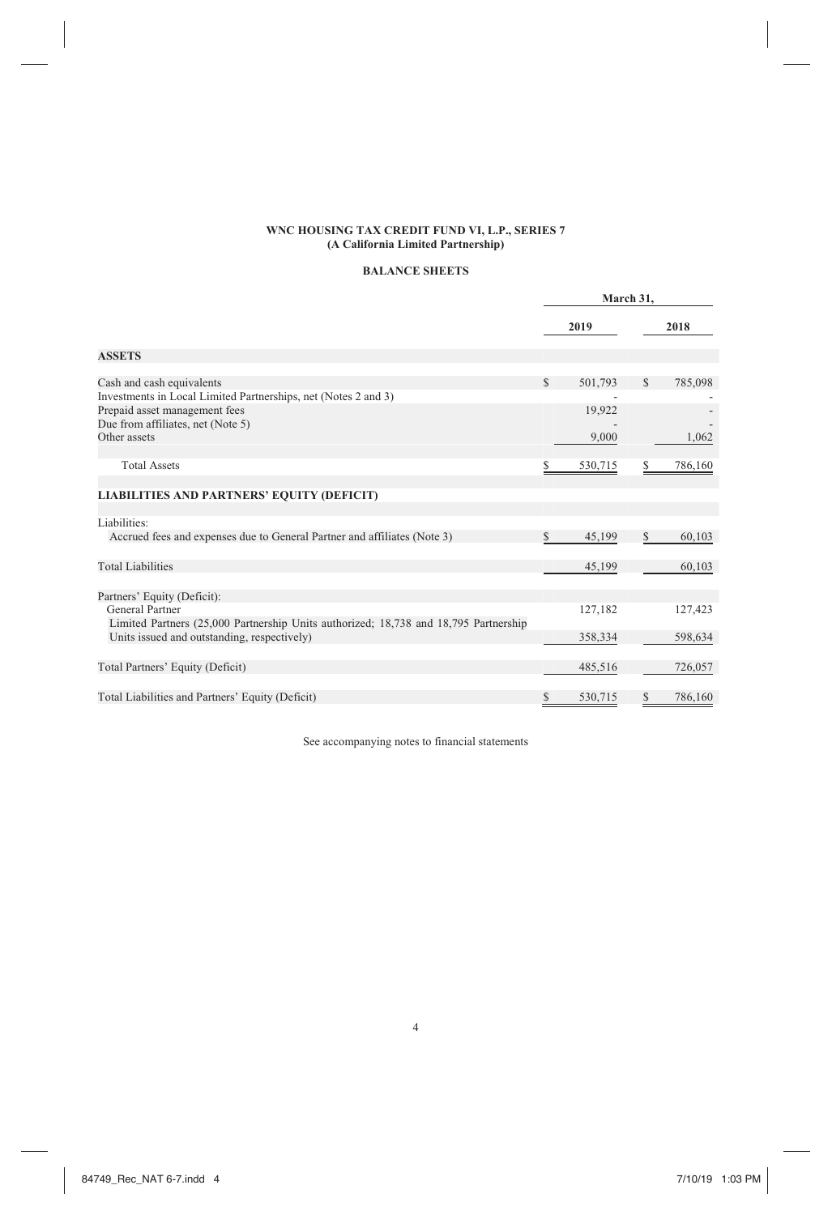# **BALANCE SHEETS**

|                                                                                                         |              | March 31, |              |         |
|---------------------------------------------------------------------------------------------------------|--------------|-----------|--------------|---------|
|                                                                                                         |              | 2019      |              | 2018    |
| <b>ASSETS</b>                                                                                           |              |           |              |         |
| Cash and cash equivalents                                                                               | $\mathbb{S}$ | 501,793   | <sup>S</sup> | 785,098 |
| Investments in Local Limited Partnerships, net (Notes 2 and 3)                                          |              |           |              |         |
| Prepaid asset management fees                                                                           |              | 19,922    |              |         |
| Due from affiliates, net (Note 5)                                                                       |              |           |              |         |
| Other assets                                                                                            |              | 9,000     |              | 1,062   |
| <b>Total Assets</b>                                                                                     | S            | 530,715   | S            | 786,160 |
| <b>LIABILITIES AND PARTNERS' EQUITY (DEFICIT)</b>                                                       |              |           |              |         |
| Liabilities:                                                                                            |              |           |              |         |
| Accrued fees and expenses due to General Partner and affiliates (Note 3)                                | \$           | 45,199    | \$           | 60,103  |
| <b>Total Liabilities</b>                                                                                |              | 45,199    |              | 60,103  |
| Partners' Equity (Deficit):                                                                             |              |           |              |         |
| General Partner<br>Limited Partners (25,000 Partnership Units authorized; 18,738 and 18,795 Partnership |              | 127,182   |              | 127,423 |
| Units issued and outstanding, respectively)                                                             |              | 358,334   |              | 598,634 |
| Total Partners' Equity (Deficit)                                                                        |              | 485,516   |              | 726,057 |
| Total Liabilities and Partners' Equity (Deficit)                                                        | \$           | 530,715   | S            | 786,160 |

See accompanying notes to financial statements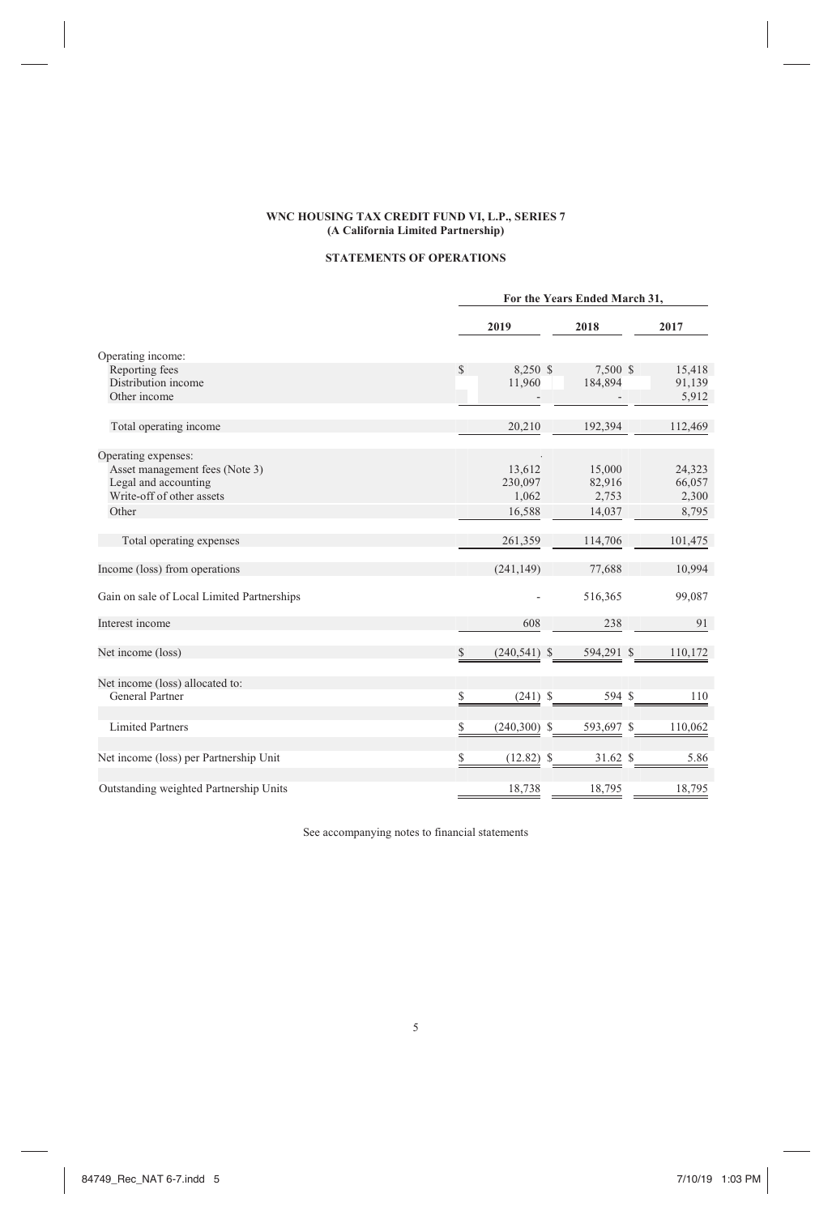# **STATEMENTS OF OPERATIONS**

|                                            |                      | For the Years Ended March 31, |         |  |  |  |  |
|--------------------------------------------|----------------------|-------------------------------|---------|--|--|--|--|
|                                            | 2019                 | 2018                          | 2017    |  |  |  |  |
| Operating income:                          |                      |                               |         |  |  |  |  |
| Reporting fees                             | S<br>8,250 \$        | 7,500 \$                      | 15,418  |  |  |  |  |
| Distribution income                        | 11,960               | 184,894                       | 91,139  |  |  |  |  |
| Other income                               |                      |                               | 5,912   |  |  |  |  |
| Total operating income                     | 20,210               | 192,394                       | 112,469 |  |  |  |  |
| Operating expenses:                        |                      |                               |         |  |  |  |  |
| Asset management fees (Note 3)             | 13,612               | 15,000                        | 24,323  |  |  |  |  |
| Legal and accounting                       | 230,097              | 82,916                        | 66,057  |  |  |  |  |
| Write-off of other assets                  | 1,062                | 2,753                         | 2,300   |  |  |  |  |
| Other                                      | 16,588               | 14,037                        | 8,795   |  |  |  |  |
| Total operating expenses                   | 261,359              | 114,706                       | 101,475 |  |  |  |  |
| Income (loss) from operations              | (241, 149)           | 77,688                        | 10,994  |  |  |  |  |
| Gain on sale of Local Limited Partnerships |                      | 516,365                       | 99,087  |  |  |  |  |
| Interest income                            | 608                  | 238                           | 91      |  |  |  |  |
| Net income (loss)                          | S<br>$(240, 541)$ \$ | 594,291 \$                    | 110,172 |  |  |  |  |
| Net income (loss) allocated to:            |                      |                               |         |  |  |  |  |
| General Partner                            |                      | $594$ \$<br>$(241)$ \$        | 110     |  |  |  |  |
| <b>Limited Partners</b>                    | $(240,300)$ \$       | 593,697 \$                    | 110,062 |  |  |  |  |
| Net income (loss) per Partnership Unit     | $(12.82)$ \$         | $31.62$ \$                    | 5.86    |  |  |  |  |
| Outstanding weighted Partnership Units     | 18,738               | 18,795                        | 18,795  |  |  |  |  |

See accompanying notes to financial statements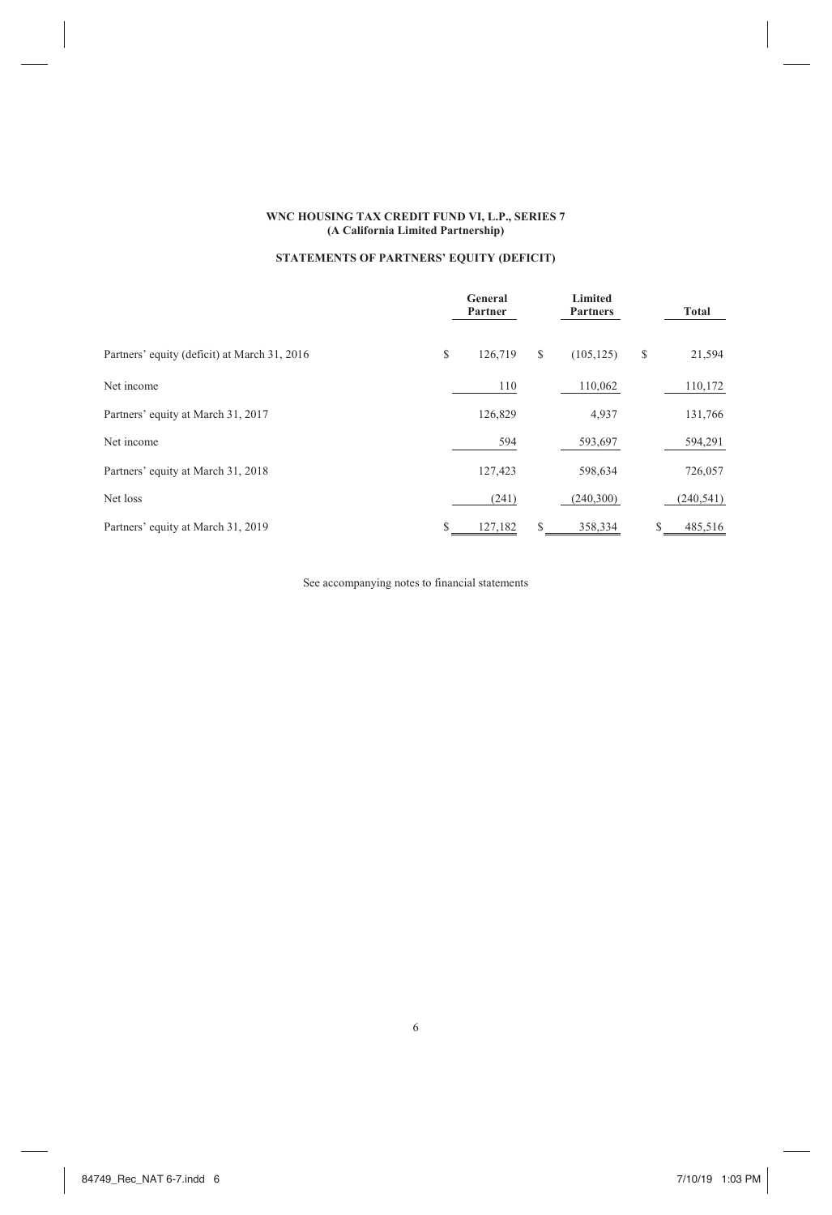# **STATEMENTS OF PARTNERS' EQUITY (DEFICIT)**

|                                              |   | General<br>Partner |   | Limited<br><b>Partners</b> | Total |            |
|----------------------------------------------|---|--------------------|---|----------------------------|-------|------------|
| Partners' equity (deficit) at March 31, 2016 | S | 126,719            | S | (105, 125)                 | S     | 21,594     |
| Net income                                   |   | 110                |   | 110,062                    |       | 110,172    |
| Partners' equity at March 31, 2017           |   | 126,829            |   | 4,937                      |       | 131,766    |
| Net income                                   |   | 594                |   | 593,697                    |       | 594,291    |
| Partners' equity at March 31, 2018           |   | 127,423            |   | 598,634                    |       | 726,057    |
| Net loss                                     |   | (241)              |   | (240,300)                  |       | (240, 541) |
| Partners' equity at March 31, 2019           |   | 127,182            | S | 358,334                    |       | 485,516    |

See accompanying notes to financial statements

6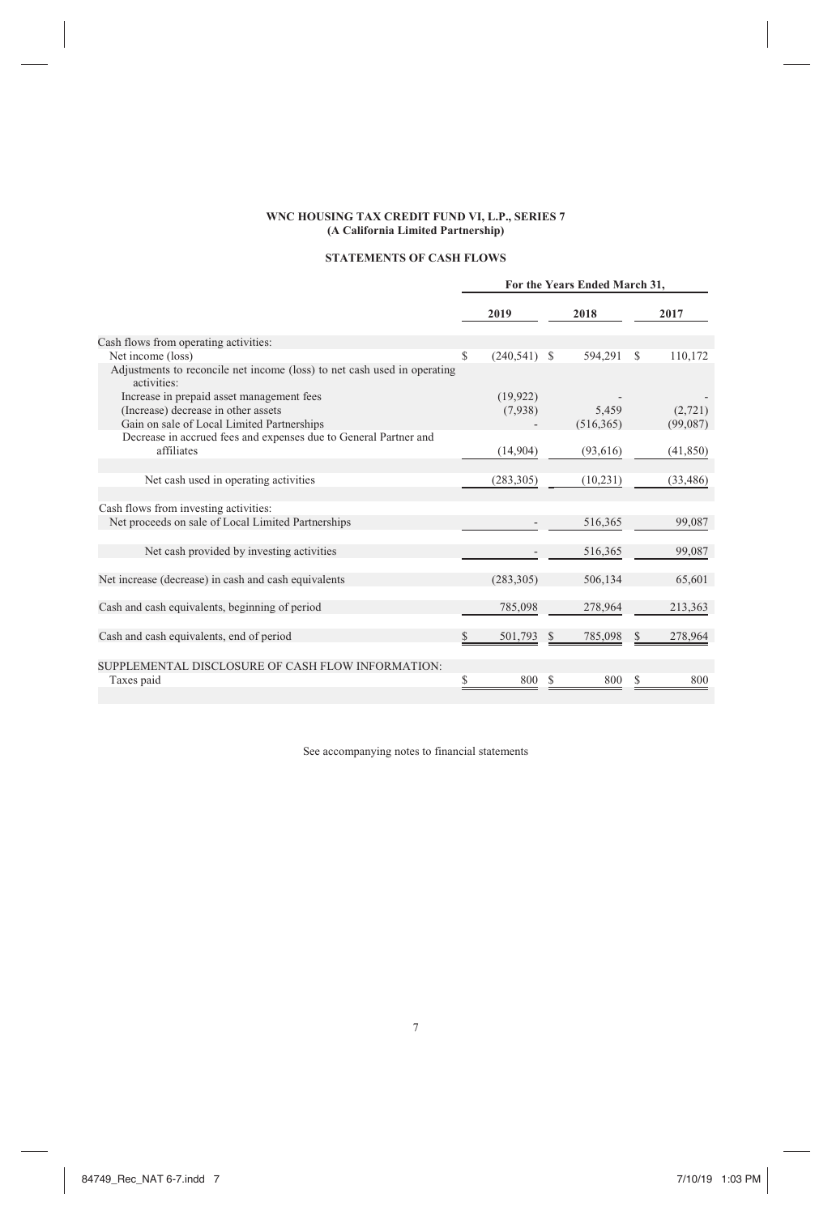# **STATEMENTS OF CASH FLOWS**

|                                                                                         | For the Years Ended March 31. |                 |    |            |   |           |
|-----------------------------------------------------------------------------------------|-------------------------------|-----------------|----|------------|---|-----------|
|                                                                                         |                               | 2019            |    | 2018       |   | 2017      |
| Cash flows from operating activities:                                                   |                               |                 |    |            |   |           |
| Net income (loss)                                                                       | <sup>\$</sup>                 | $(240, 541)$ \$ |    | 594,291    | S | 110,172   |
| Adjustments to reconcile net income (loss) to net cash used in operating<br>activities: |                               |                 |    |            |   |           |
| Increase in prepaid asset management fees                                               |                               | (19,922)        |    |            |   |           |
| (Increase) decrease in other assets                                                     |                               | (7.938)         |    | 5.459      |   | (2.721)   |
| Gain on sale of Local Limited Partnerships                                              |                               |                 |    | (516, 365) |   | (99,087)  |
| Decrease in accrued fees and expenses due to General Partner and                        |                               |                 |    |            |   |           |
| affiliates                                                                              |                               | (14,904)        |    | (93, 616)  |   | (41, 850) |
|                                                                                         |                               |                 |    |            |   |           |
| Net cash used in operating activities                                                   |                               | (283, 305)      |    | (10, 231)  |   | (33, 486) |
|                                                                                         |                               |                 |    |            |   |           |
| Cash flows from investing activities:                                                   |                               |                 |    |            |   |           |
| Net proceeds on sale of Local Limited Partnerships                                      |                               |                 |    | 516,365    |   | 99,087    |
|                                                                                         |                               |                 |    |            |   |           |
| Net cash provided by investing activities                                               |                               |                 |    | 516,365    |   | 99,087    |
|                                                                                         |                               |                 |    |            |   |           |
| Net increase (decrease) in cash and cash equivalents                                    |                               | (283, 305)      |    | 506,134    |   | 65,601    |
|                                                                                         |                               |                 |    |            |   |           |
| Cash and cash equivalents, beginning of period                                          |                               | 785,098         |    | 278,964    |   | 213,363   |
|                                                                                         |                               |                 |    |            |   |           |
| Cash and cash equivalents, end of period                                                | S                             | 501,793         |    | 785,098    |   | 278,964   |
|                                                                                         |                               |                 |    |            |   |           |
| SUPPLEMENTAL DISCLOSURE OF CASH FLOW INFORMATION:                                       |                               |                 |    |            |   |           |
| Taxes paid                                                                              | S                             | 800             | S. | 800        | S | 800       |
|                                                                                         |                               |                 |    |            |   |           |

See accompanying notes to financial statements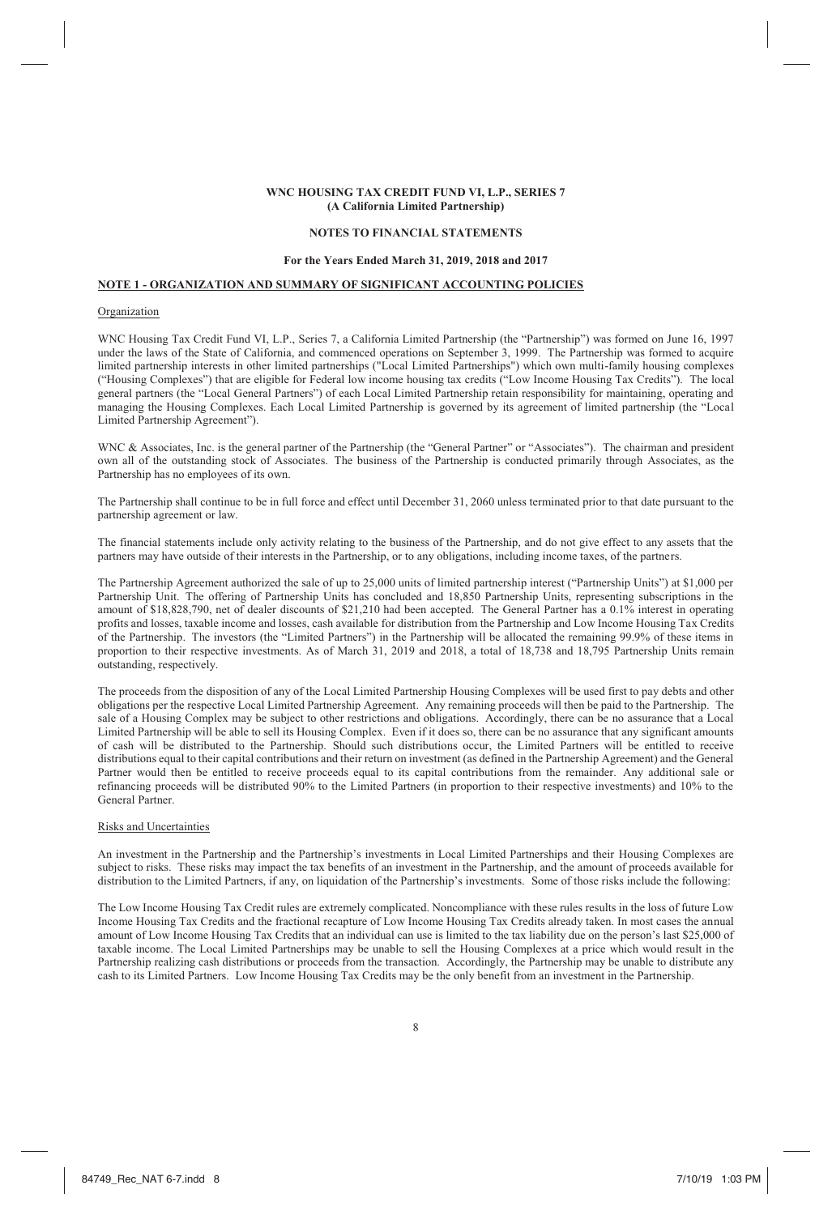### **NOTES TO FINANCIAL STATEMENTS**

### **For the Years Ended March 31, 2019, 2018 and 2017**

### **NOTE 1 - ORGANIZATION AND SUMMARY OF SIGNIFICANT ACCOUNTING POLICIES**

#### Organization

WNC Housing Tax Credit Fund VI, L.P., Series 7, a California Limited Partnership (the "Partnership") was formed on June 16, 1997 under the laws of the State of California, and commenced operations on September 3, 1999. The Partnership was formed to acquire limited partnership interests in other limited partnerships ("Local Limited Partnerships") which own multi-family housing complexes ("Housing Complexes") that are eligible for Federal low income housing tax credits ("Low Income Housing Tax Credits"). The local general partners (the "Local General Partners") of each Local Limited Partnership retain responsibility for maintaining, operating and managing the Housing Complexes. Each Local Limited Partnership is governed by its agreement of limited partnership (the "Local Limited Partnership Agreement").

WNC & Associates, Inc. is the general partner of the Partnership (the "General Partner" or "Associates"). The chairman and president own all of the outstanding stock of Associates. The business of the Partnership is conducted primarily through Associates, as the Partnership has no employees of its own.

The Partnership shall continue to be in full force and effect until December 31, 2060 unless terminated prior to that date pursuant to the partnership agreement or law.

The financial statements include only activity relating to the business of the Partnership, and do not give effect to any assets that the partners may have outside of their interests in the Partnership, or to any obligations, including income taxes, of the partners.

The Partnership Agreement authorized the sale of up to 25,000 units of limited partnership interest ("Partnership Units") at \$1,000 per Partnership Unit. The offering of Partnership Units has concluded and 18,850 Partnership Units, representing subscriptions in the amount of \$18,828,790, net of dealer discounts of \$21,210 had been accepted. The General Partner has a 0.1% interest in operating profits and losses, taxable income and losses, cash available for distribution from the Partnership and Low Income Housing Tax Credits of the Partnership. The investors (the "Limited Partners") in the Partnership will be allocated the remaining 99.9% of these items in proportion to their respective investments. As of March 31, 2019 and 2018, a total of 18,738 and 18,795 Partnership Units remain outstanding, respectively.

The proceeds from the disposition of any of the Local Limited Partnership Housing Complexes will be used first to pay debts and other obligations per the respective Local Limited Partnership Agreement. Any remaining proceeds will then be paid to the Partnership. The sale of a Housing Complex may be subject to other restrictions and obligations. Accordingly, there can be no assurance that a Local Limited Partnership will be able to sell its Housing Complex. Even if it does so, there can be no assurance that any significant amounts of cash will be distributed to the Partnership. Should such distributions occur, the Limited Partners will be entitled to receive distributions equal to their capital contributions and their return on investment (as defined in the Partnership Agreement) and the General Partner would then be entitled to receive proceeds equal to its capital contributions from the remainder. Any additional sale or refinancing proceeds will be distributed 90% to the Limited Partners (in proportion to their respective investments) and 10% to the General Partner.

#### Risks and Uncertainties

An investment in the Partnership and the Partnership's investments in Local Limited Partnerships and their Housing Complexes are subject to risks. These risks may impact the tax benefits of an investment in the Partnership, and the amount of proceeds available for distribution to the Limited Partners, if any, on liquidation of the Partnership's investments. Some of those risks include the following:

The Low Income Housing Tax Credit rules are extremely complicated. Noncompliance with these rules results in the loss of future Low Income Housing Tax Credits and the fractional recapture of Low Income Housing Tax Credits already taken. In most cases the annual amount of Low Income Housing Tax Credits that an individual can use is limited to the tax liability due on the person's last \$25,000 of taxable income. The Local Limited Partnerships may be unable to sell the Housing Complexes at a price which would result in the Partnership realizing cash distributions or proceeds from the transaction. Accordingly, the Partnership may be unable to distribute any cash to its Limited Partners. Low Income Housing Tax Credits may be the only benefit from an investment in the Partnership.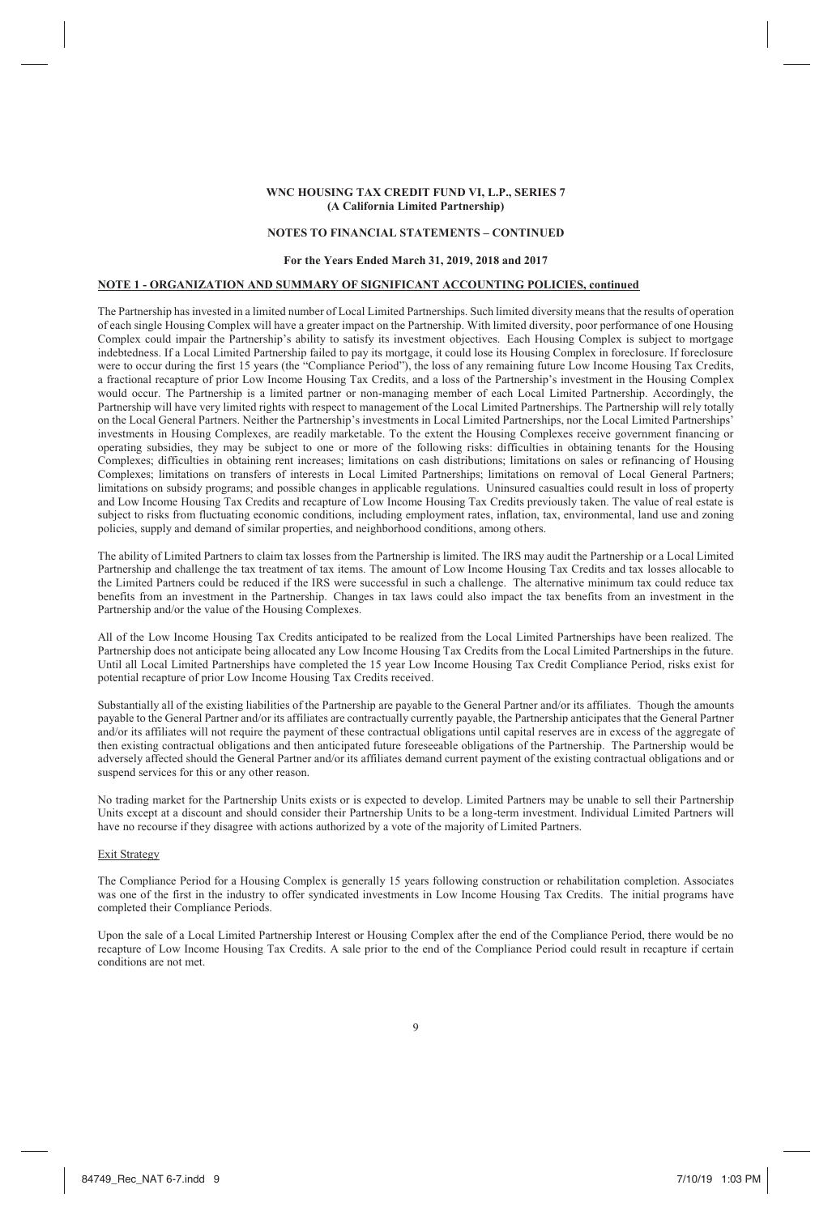#### **NOTES TO FINANCIAL STATEMENTS – CONTINUED**

### **For the Years Ended March 31, 2019, 2018 and 2017**

# **NOTE 1 - ORGANIZATION AND SUMMARY OF SIGNIFICANT ACCOUNTING POLICIES, continued**

The Partnership has invested in a limited number of Local Limited Partnerships. Such limited diversity means that the results of operation of each single Housing Complex will have a greater impact on the Partnership. With limited diversity, poor performance of one Housing Complex could impair the Partnership's ability to satisfy its investment objectives. Each Housing Complex is subject to mortgage indebtedness. If a Local Limited Partnership failed to pay its mortgage, it could lose its Housing Complex in foreclosure. If foreclosure were to occur during the first 15 years (the "Compliance Period"), the loss of any remaining future Low Income Housing Tax Credits, a fractional recapture of prior Low Income Housing Tax Credits, and a loss of the Partnership's investment in the Housing Complex would occur. The Partnership is a limited partner or non-managing member of each Local Limited Partnership. Accordingly, the Partnership will have very limited rights with respect to management of the Local Limited Partnerships. The Partnership will rely totally on the Local General Partners. Neither the Partnership's investments in Local Limited Partnerships, nor the Local Limited Partnerships' investments in Housing Complexes, are readily marketable. To the extent the Housing Complexes receive government financing or operating subsidies, they may be subject to one or more of the following risks: difficulties in obtaining tenants for the Housing Complexes; difficulties in obtaining rent increases; limitations on cash distributions; limitations on sales or refinancing of Housing Complexes; limitations on transfers of interests in Local Limited Partnerships; limitations on removal of Local General Partners; limitations on subsidy programs; and possible changes in applicable regulations. Uninsured casualties could result in loss of property and Low Income Housing Tax Credits and recapture of Low Income Housing Tax Credits previously taken. The value of real estate is subject to risks from fluctuating economic conditions, including employment rates, inflation, tax, environmental, land use and zoning policies, supply and demand of similar properties, and neighborhood conditions, among others.

The ability of Limited Partners to claim tax losses from the Partnership is limited. The IRS may audit the Partnership or a Local Limited Partnership and challenge the tax treatment of tax items. The amount of Low Income Housing Tax Credits and tax losses allocable to the Limited Partners could be reduced if the IRS were successful in such a challenge. The alternative minimum tax could reduce tax benefits from an investment in the Partnership. Changes in tax laws could also impact the tax benefits from an investment in the Partnership and/or the value of the Housing Complexes.

All of the Low Income Housing Tax Credits anticipated to be realized from the Local Limited Partnerships have been realized. The Partnership does not anticipate being allocated any Low Income Housing Tax Credits from the Local Limited Partnerships in the future. Until all Local Limited Partnerships have completed the 15 year Low Income Housing Tax Credit Compliance Period, risks exist for potential recapture of prior Low Income Housing Tax Credits received.

Substantially all of the existing liabilities of the Partnership are payable to the General Partner and/or its affiliates. Though the amounts payable to the General Partner and/or its affiliates are contractually currently payable, the Partnership anticipates that the General Partner and/or its affiliates will not require the payment of these contractual obligations until capital reserves are in excess of the aggregate of then existing contractual obligations and then anticipated future foreseeable obligations of the Partnership. The Partnership would be adversely affected should the General Partner and/or its affiliates demand current payment of the existing contractual obligations and or suspend services for this or any other reason.

 No trading market for the Partnership Units exists or is expected to develop. Limited Partners may be unable to sell their Partnership Units except at a discount and should consider their Partnership Units to be a long-term investment. Individual Limited Partners will have no recourse if they disagree with actions authorized by a vote of the majority of Limited Partners.

#### Exit Strategy

The Compliance Period for a Housing Complex is generally 15 years following construction or rehabilitation completion. Associates was one of the first in the industry to offer syndicated investments in Low Income Housing Tax Credits. The initial programs have completed their Compliance Periods.

Upon the sale of a Local Limited Partnership Interest or Housing Complex after the end of the Compliance Period, there would be no recapture of Low Income Housing Tax Credits. A sale prior to the end of the Compliance Period could result in recapture if certain conditions are not met.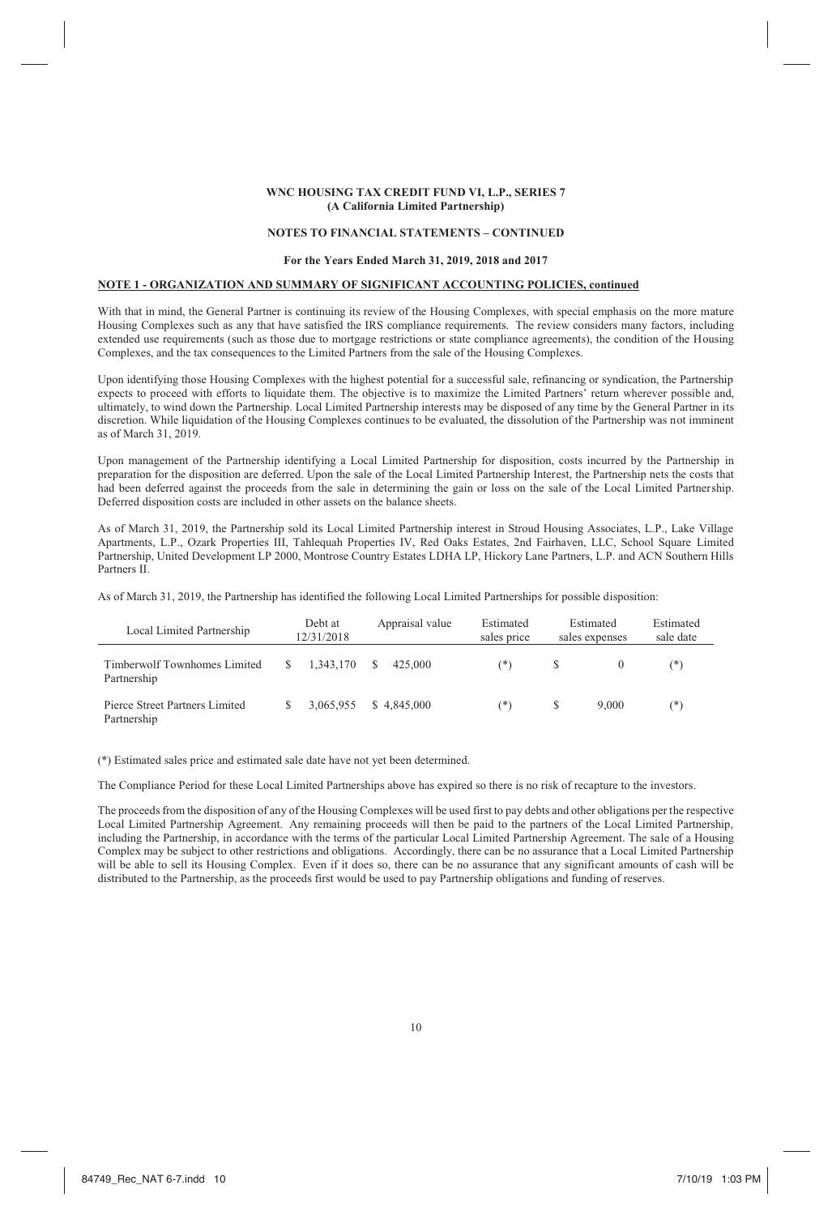#### **NOTES TO FINANCIAL STATEMENTS – CONTINUED**

### **For the Years Ended March 31, 2019, 2018 and 2017**

### **NOTE 1 - ORGANIZATION AND SUMMARY OF SIGNIFICANT ACCOUNTING POLICIES, continued**

With that in mind, the General Partner is continuing its review of the Housing Complexes, with special emphasis on the more mature Housing Complexes such as any that have satisfied the IRS compliance requirements. The review considers many factors, including extended use requirements (such as those due to mortgage restrictions or state compliance agreements), the condition of the Housing Complexes, and the tax consequences to the Limited Partners from the sale of the Housing Complexes.

Upon identifying those Housing Complexes with the highest potential for a successful sale, refinancing or syndication, the Partnership expects to proceed with efforts to liquidate them. The objective is to maximize the Limited Partners' return wherever possible and, ultimately, to wind down the Partnership. Local Limited Partnership interests may be disposed of any time by the General Partner in its discretion. While liquidation of the Housing Complexes continues to be evaluated, the dissolution of the Partnership was not imminent as of March 31, 2019.

Upon management of the Partnership identifying a Local Limited Partnership for disposition, costs incurred by the Partnership in preparation for the disposition are deferred. Upon the sale of the Local Limited Partnership Interest, the Partnership nets the costs that had been deferred against the proceeds from the sale in determining the gain or loss on the sale of the Local Limited Partnership. Deferred disposition costs are included in other assets on the balance sheets.

As of March 31, 2019, the Partnership sold its Local Limited Partnership interest in Stroud Housing Associates, L.P., Lake Village Apartments, L.P., Ozark Properties III, Tahlequah Properties IV, Red Oaks Estates, 2nd Fairhaven, LLC, School Square Limited Partnership, United Development LP 2000, Montrose Country Estates LDHA LP, Hickory Lane Partners, L.P. and ACN Southern Hills Partners II.

As of March 31, 2019, the Partnership has identified the following Local Limited Partnerships for possible disposition:

| Local Limited Partnership                     | Debt at<br>12/31/2018 |   | Appraisal value | Estimated<br>sales price |   | Estimated<br>sales expenses | Estimated<br>sale date |
|-----------------------------------------------|-----------------------|---|-----------------|--------------------------|---|-----------------------------|------------------------|
| Timberwolf Townhomes Limited<br>Partnership   | 1.343.170             | S | 425.000         | (*)                      |   |                             | $(*)$                  |
| Pierce Street Partners Limited<br>Partnership | 3.065.955             |   | \$4.845,000     | $(*)$                    | S | 9,000                       | $^{(*)}$               |

(\*) Estimated sales price and estimated sale date have not yet been determined.

The Compliance Period for these Local Limited Partnerships above has expired so there is no risk of recapture to the investors.

The proceeds from the disposition of any of the Housing Complexes will be used first to pay debts and other obligations per the respective Local Limited Partnership Agreement. Any remaining proceeds will then be paid to the partners of the Local Limited Partnership, including the Partnership, in accordance with the terms of the particular Local Limited Partnership Agreement. The sale of a Housing Complex may be subject to other restrictions and obligations. Accordingly, there can be no assurance that a Local Limited Partnership will be able to sell its Housing Complex. Even if it does so, there can be no assurance that any significant amounts of cash will be distributed to the Partnership, as the proceeds first would be used to pay Partnership obligations and funding of reserves.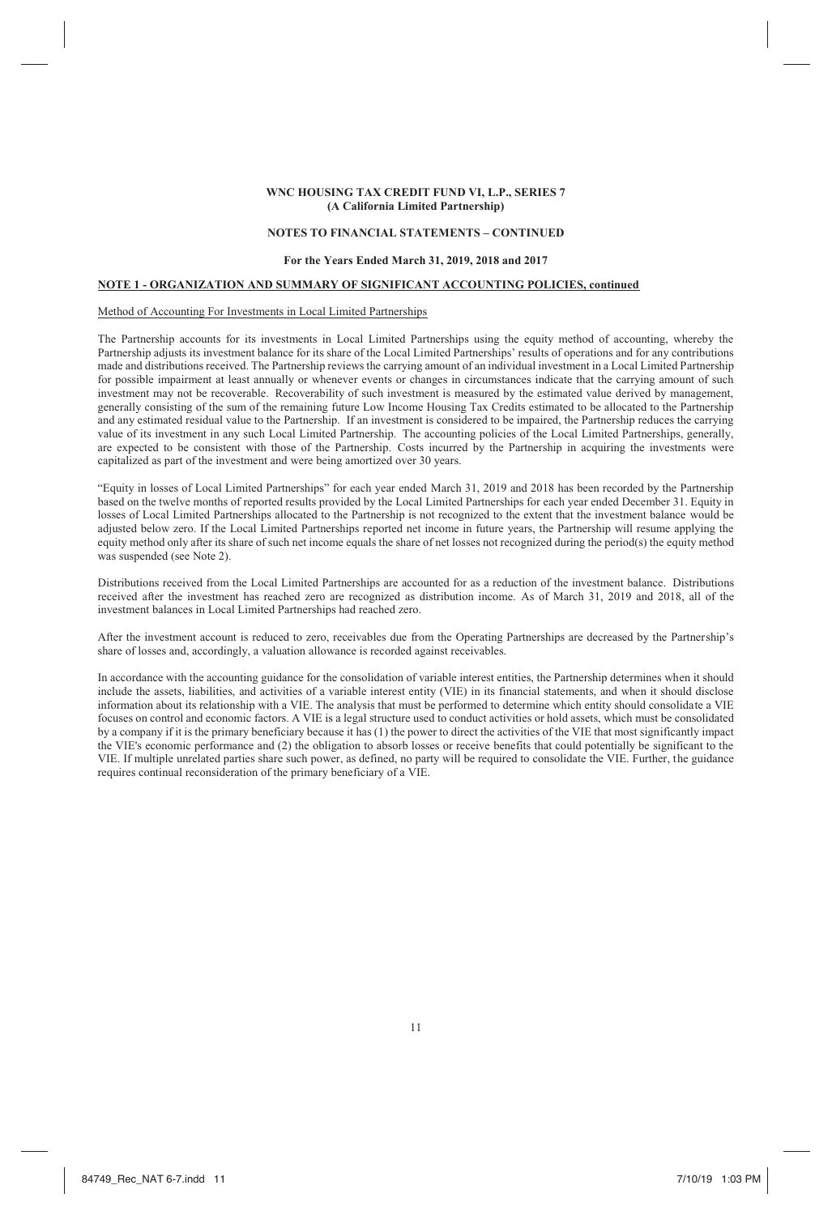#### **NOTES TO FINANCIAL STATEMENTS – CONTINUED**

### **For the Years Ended March 31, 2019, 2018 and 2017**

### **NOTE 1 - ORGANIZATION AND SUMMARY OF SIGNIFICANT ACCOUNTING POLICIES, continued**

#### Method of Accounting For Investments in Local Limited Partnerships

The Partnership accounts for its investments in Local Limited Partnerships using the equity method of accounting, whereby the Partnership adjusts its investment balance for its share of the Local Limited Partnerships' results of operations and for any contributions made and distributions received. The Partnership reviews the carrying amount of an individual investment in a Local Limited Partnership for possible impairment at least annually or whenever events or changes in circumstances indicate that the carrying amount of such investment may not be recoverable. Recoverability of such investment is measured by the estimated value derived by management, generally consisting of the sum of the remaining future Low Income Housing Tax Credits estimated to be allocated to the Partnership and any estimated residual value to the Partnership. If an investment is considered to be impaired, the Partnership reduces the carrying value of its investment in any such Local Limited Partnership. The accounting policies of the Local Limited Partnerships, generally, are expected to be consistent with those of the Partnership. Costs incurred by the Partnership in acquiring the investments were capitalized as part of the investment and were being amortized over 30 years.

"Equity in losses of Local Limited Partnerships" for each year ended March 31, 2019 and 2018 has been recorded by the Partnership based on the twelve months of reported results provided by the Local Limited Partnerships for each year ended December 31. Equity in losses of Local Limited Partnerships allocated to the Partnership is not recognized to the extent that the investment balance would be adjusted below zero. If the Local Limited Partnerships reported net income in future years, the Partnership will resume applying the equity method only after its share of such net income equals the share of net losses not recognized during the period(s) the equity method was suspended (see Note 2).

Distributions received from the Local Limited Partnerships are accounted for as a reduction of the investment balance. Distributions received after the investment has reached zero are recognized as distribution income. As of March 31, 2019 and 2018, all of the investment balances in Local Limited Partnerships had reached zero.

After the investment account is reduced to zero, receivables due from the Operating Partnerships are decreased by the Partnership's share of losses and, accordingly, a valuation allowance is recorded against receivables.

In accordance with the accounting guidance for the consolidation of variable interest entities, the Partnership determines when it should include the assets, liabilities, and activities of a variable interest entity (VIE) in its financial statements, and when it should disclose information about its relationship with a VIE. The analysis that must be performed to determine which entity should consolidate a VIE focuses on control and economic factors. A VIE is a legal structure used to conduct activities or hold assets, which must be consolidated by a company if it is the primary beneficiary because it has (1) the power to direct the activities of the VIE that most significantly impact the VIE's economic performance and (2) the obligation to absorb losses or receive benefits that could potentially be significant to the VIE. If multiple unrelated parties share such power, as defined, no party will be required to consolidate the VIE. Further, the guidance requires continual reconsideration of the primary beneficiary of a VIE.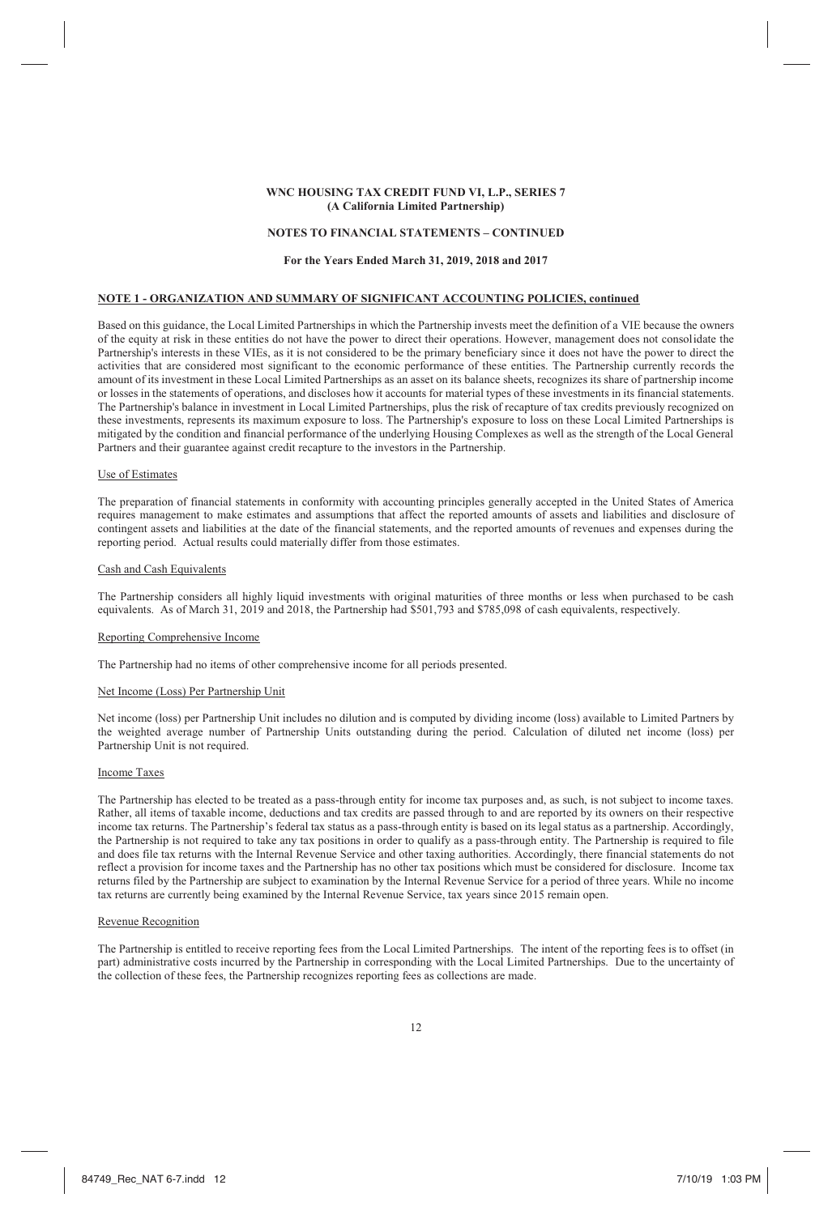#### **NOTES TO FINANCIAL STATEMENTS – CONTINUED**

### **For the Years Ended March 31, 2019, 2018 and 2017**

### **NOTE 1 - ORGANIZATION AND SUMMARY OF SIGNIFICANT ACCOUNTING POLICIES, continued**

Based on this guidance, the Local Limited Partnerships in which the Partnership invests meet the definition of a VIE because the owners of the equity at risk in these entities do not have the power to direct their operations. However, management does not consolidate the Partnership's interests in these VIEs, as it is not considered to be the primary beneficiary since it does not have the power to direct the activities that are considered most significant to the economic performance of these entities. The Partnership currently records the amount of its investment in these Local Limited Partnerships as an asset on its balance sheets, recognizes its share of partnership income or losses in the statements of operations, and discloses how it accounts for material types of these investments in its financial statements. The Partnership's balance in investment in Local Limited Partnerships, plus the risk of recapture of tax credits previously recognized on these investments, represents its maximum exposure to loss. The Partnership's exposure to loss on these Local Limited Partnerships is mitigated by the condition and financial performance of the underlying Housing Complexes as well as the strength of the Local General Partners and their guarantee against credit recapture to the investors in the Partnership.

### Use of Estimates

The preparation of financial statements in conformity with accounting principles generally accepted in the United States of America requires management to make estimates and assumptions that affect the reported amounts of assets and liabilities and disclosure of contingent assets and liabilities at the date of the financial statements, and the reported amounts of revenues and expenses during the reporting period. Actual results could materially differ from those estimates.

#### Cash and Cash Equivalents

The Partnership considers all highly liquid investments with original maturities of three months or less when purchased to be cash equivalents. As of March 31, 2019 and 2018, the Partnership had \$501,793 and \$785,098 of cash equivalents, respectively.

#### Reporting Comprehensive Income

The Partnership had no items of other comprehensive income for all periods presented.

#### Net Income (Loss) Per Partnership Unit

Net income (loss) per Partnership Unit includes no dilution and is computed by dividing income (loss) available to Limited Partners by the weighted average number of Partnership Units outstanding during the period. Calculation of diluted net income (loss) per Partnership Unit is not required.

#### Income Taxes

The Partnership has elected to be treated as a pass-through entity for income tax purposes and, as such, is not subject to income taxes. Rather, all items of taxable income, deductions and tax credits are passed through to and are reported by its owners on their respective income tax returns. The Partnership's federal tax status as a pass-through entity is based on its legal status as a partnership. Accordingly, the Partnership is not required to take any tax positions in order to qualify as a pass-through entity. The Partnership is required to file and does file tax returns with the Internal Revenue Service and other taxing authorities. Accordingly, there financial statements do not reflect a provision for income taxes and the Partnership has no other tax positions which must be considered for disclosure. Income tax returns filed by the Partnership are subject to examination by the Internal Revenue Service for a period of three years. While no income tax returns are currently being examined by the Internal Revenue Service, tax years since 2015 remain open.

### Revenue Recognition

The Partnership is entitled to receive reporting fees from the Local Limited Partnerships. The intent of the reporting fees is to offset (in part) administrative costs incurred by the Partnership in corresponding with the Local Limited Partnerships. Due to the uncertainty of the collection of these fees, the Partnership recognizes reporting fees as collections are made.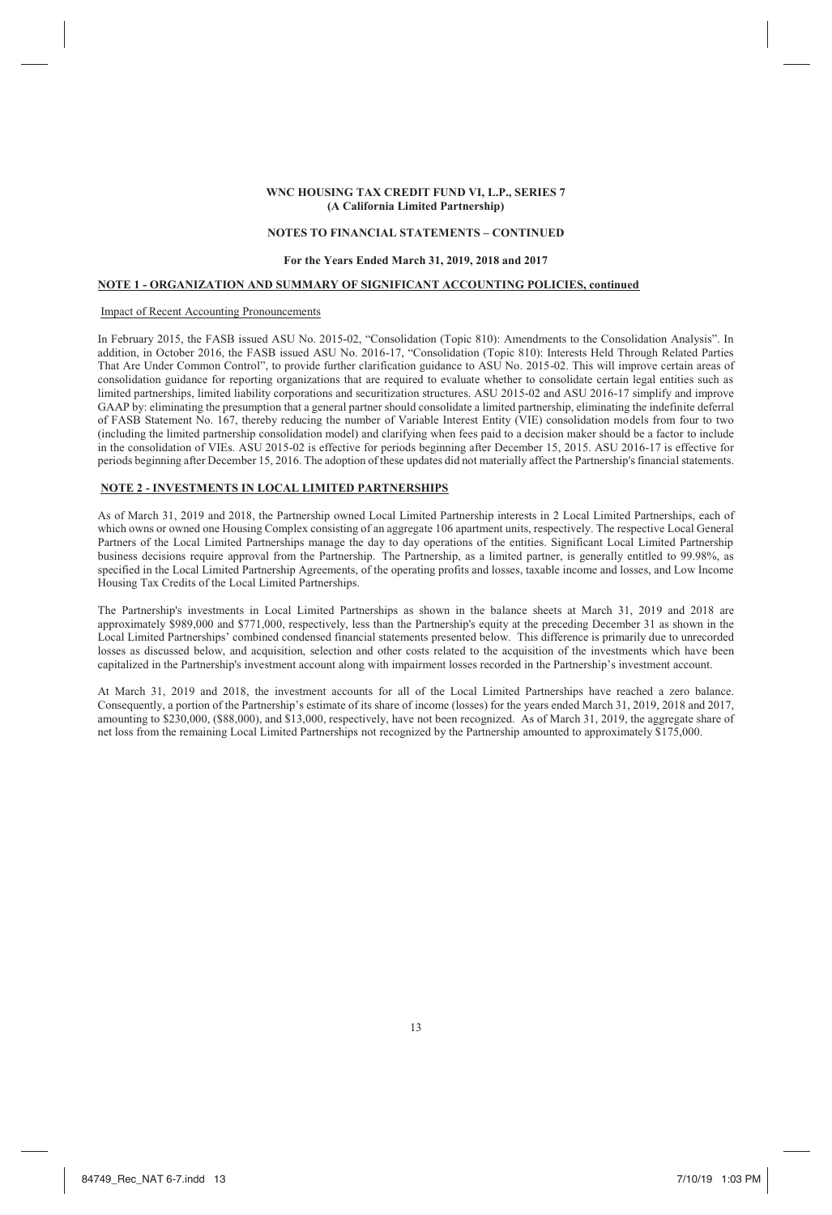#### **NOTES TO FINANCIAL STATEMENTS – CONTINUED**

### **For the Years Ended March 31, 2019, 2018 and 2017**

### **NOTE 1 - ORGANIZATION AND SUMMARY OF SIGNIFICANT ACCOUNTING POLICIES, continued**

#### Impact of Recent Accounting Pronouncements

In February 2015, the FASB issued ASU No. 2015-02, "Consolidation (Topic 810): Amendments to the Consolidation Analysis". In addition, in October 2016, the FASB issued ASU No. 2016-17, "Consolidation (Topic 810): Interests Held Through Related Parties That Are Under Common Control", to provide further clarification guidance to ASU No. 2015-02. This will improve certain areas of consolidation guidance for reporting organizations that are required to evaluate whether to consolidate certain legal entities such as limited partnerships, limited liability corporations and securitization structures. ASU 2015-02 and ASU 2016-17 simplify and improve GAAP by: eliminating the presumption that a general partner should consolidate a limited partnership, eliminating the indefinite deferral of FASB Statement No. 167, thereby reducing the number of Variable Interest Entity (VIE) consolidation models from four to two (including the limited partnership consolidation model) and clarifying when fees paid to a decision maker should be a factor to include in the consolidation of VIEs. ASU 2015-02 is effective for periods beginning after December 15, 2015. ASU 2016-17 is effective for periods beginning after December 15, 2016. The adoption of these updates did not materially affect the Partnership's financial statements.

## **NOTE 2 - INVESTMENTS IN LOCAL LIMITED PARTNERSHIPS**

As of March 31, 2019 and 2018, the Partnership owned Local Limited Partnership interests in 2 Local Limited Partnerships, each of which owns or owned one Housing Complex consisting of an aggregate 106 apartment units, respectively. The respective Local General Partners of the Local Limited Partnerships manage the day to day operations of the entities. Significant Local Limited Partnership business decisions require approval from the Partnership. The Partnership, as a limited partner, is generally entitled to 99.98%, as specified in the Local Limited Partnership Agreements, of the operating profits and losses, taxable income and losses, and Low Income Housing Tax Credits of the Local Limited Partnerships.

The Partnership's investments in Local Limited Partnerships as shown in the balance sheets at March 31, 2019 and 2018 are approximately \$989,000 and \$771,000, respectively, less than the Partnership's equity at the preceding December 31 as shown in the Local Limited Partnerships' combined condensed financial statements presented below. This difference is primarily due to unrecorded losses as discussed below, and acquisition, selection and other costs related to the acquisition of the investments which have been capitalized in the Partnership's investment account along with impairment losses recorded in the Partnership's investment account.

At March 31, 2019 and 2018, the investment accounts for all of the Local Limited Partnerships have reached a zero balance. Consequently, a portion of the Partnership's estimate of its share of income (losses) for the years ended March 31, 2019, 2018 and 2017, amounting to \$230,000, (\$88,000), and \$13,000, respectively, have not been recognized. As of March 31, 2019, the aggregate share of net loss from the remaining Local Limited Partnerships not recognized by the Partnership amounted to approximately \$175,000.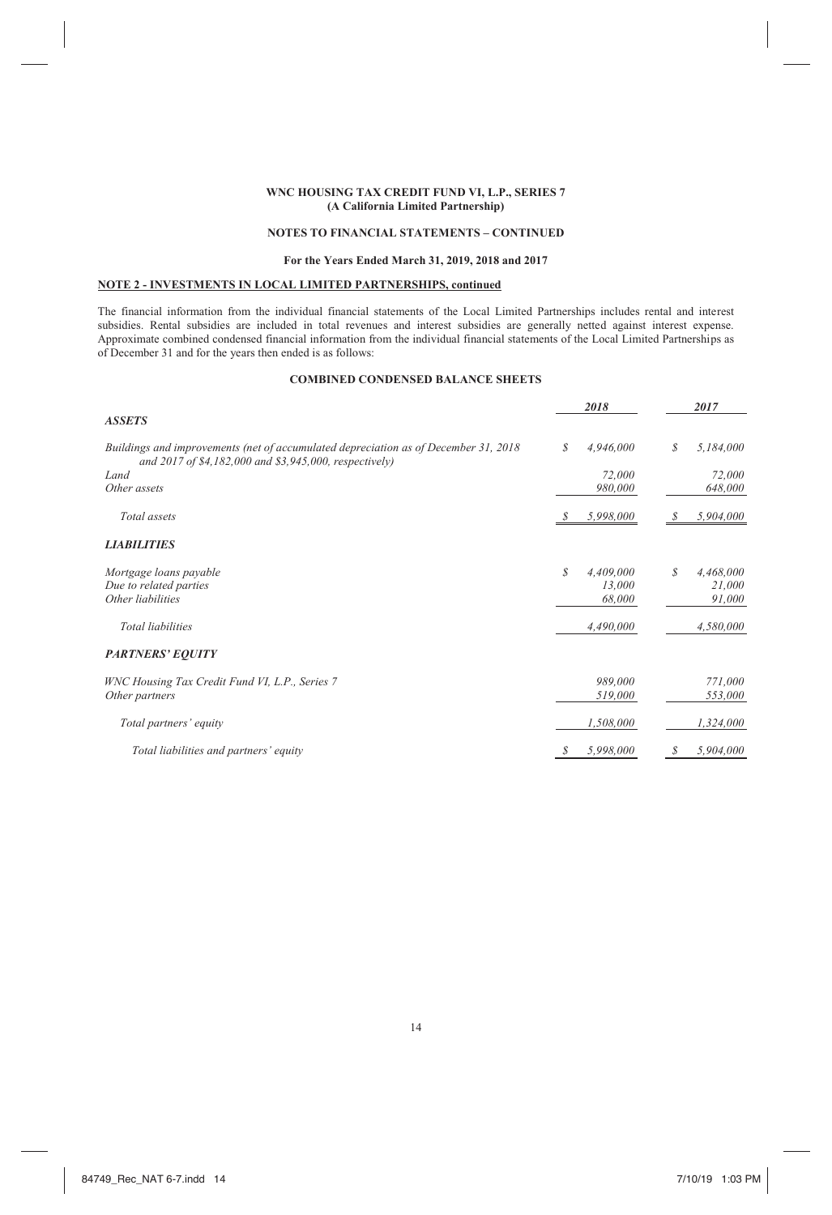# **NOTES TO FINANCIAL STATEMENTS – CONTINUED**

### **For the Years Ended March 31, 2019, 2018 and 2017**

# **NOTE 2 - INVESTMENTS IN LOCAL LIMITED PARTNERSHIPS, continued**

The financial information from the individual financial statements of the Local Limited Partnerships includes rental and interest subsidies. Rental subsidies are included in total revenues and interest subsidies are generally netted against interest expense. Approximate combined condensed financial information from the individual financial statements of the Local Limited Partnerships as of December 31 and for the years then ended is as follows:

# **COMBINED CONDENSED BALANCE SHEETS**

|                                                                                                                                               |               | 2018      |   | 2017      |
|-----------------------------------------------------------------------------------------------------------------------------------------------|---------------|-----------|---|-----------|
| <b>ASSETS</b>                                                                                                                                 |               |           |   |           |
| Buildings and improvements (net of accumulated depreciation as of December 31, 2018<br>and 2017 of \$4,182,000 and \$3,945,000, respectively) | S             | 4,946,000 | S | 5,184,000 |
| Land                                                                                                                                          |               | 72,000    |   | 72,000    |
| Other assets                                                                                                                                  |               | 980,000   |   | 648,000   |
|                                                                                                                                               |               |           |   |           |
| Total assets                                                                                                                                  | S             | 5,998,000 | S | 5,904,000 |
| <b>LIABILITIES</b>                                                                                                                            |               |           |   |           |
| Mortgage loans payable                                                                                                                        | \$            | 4,409,000 | S | 4,468,000 |
| Due to related parties                                                                                                                        |               | 13,000    |   | 21,000    |
| Other liabilities                                                                                                                             |               | 68,000    |   | 91,000    |
| <b>Total liabilities</b>                                                                                                                      |               | 4,490,000 |   | 4,580,000 |
| <b>PARTNERS' EQUITY</b>                                                                                                                       |               |           |   |           |
| WNC Housing Tax Credit Fund VI, L.P., Series 7                                                                                                |               | 989,000   |   | 771,000   |
| Other partners                                                                                                                                |               | 519,000   |   | 553,000   |
| Total partners' equity                                                                                                                        |               | 1,508,000 |   | 1,324,000 |
| Total liabilities and partners' equity                                                                                                        | $\mathcal{S}$ | 5,998,000 | S | 5,904,000 |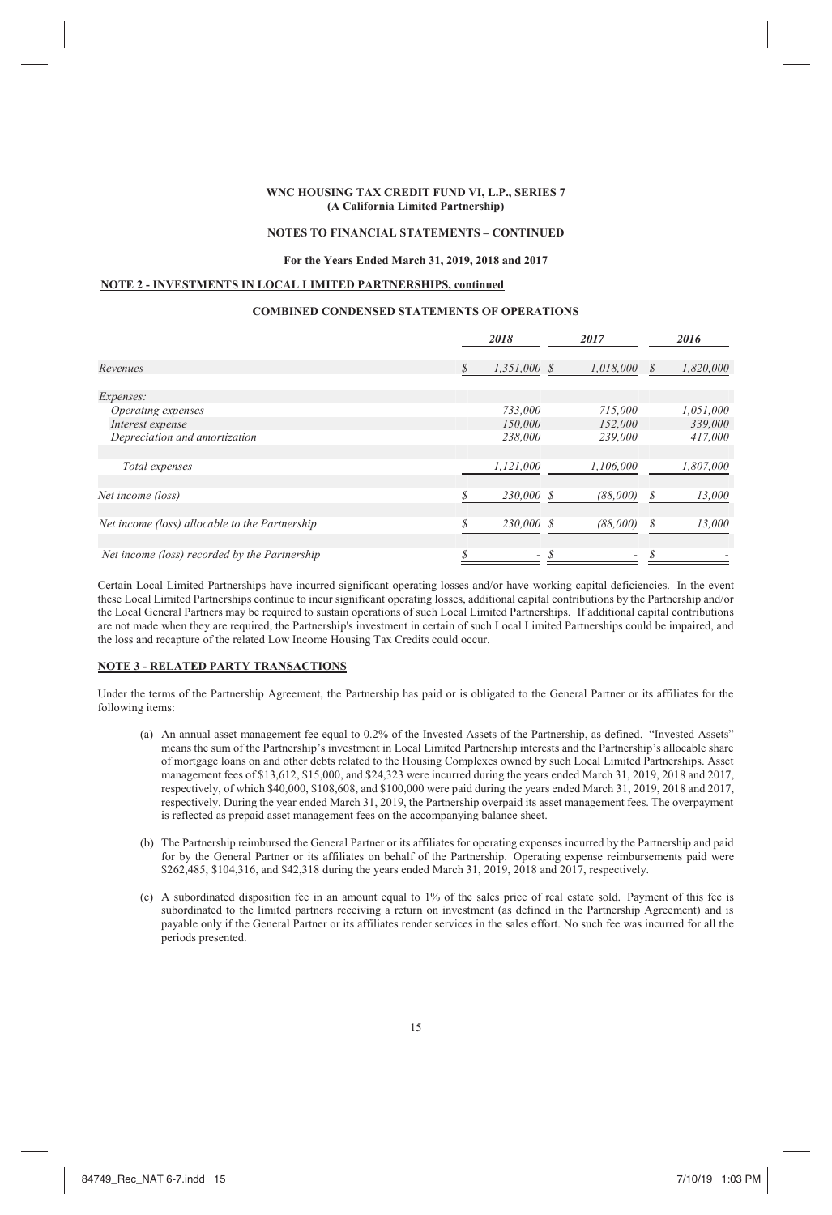#### **NOTES TO FINANCIAL STATEMENTS – CONTINUED**

### **For the Years Ended March 31, 2019, 2018 and 2017**

# **NOTE 2 - INVESTMENTS IN LOCAL LIMITED PARTNERSHIPS, continued**

### **COMBINED CONDENSED STATEMENTS OF OPERATIONS**

|                                                |   | 2018                     | 2017      |   | 2016      |
|------------------------------------------------|---|--------------------------|-----------|---|-----------|
| Revenues                                       | S | $1,351,000$ \$           | 1.018.000 | S | 1,820,000 |
| Expenses:                                      |   |                          |           |   |           |
| Operating expenses                             |   | 733,000                  | 715,000   |   | 1,051,000 |
| Interest expense                               |   | 150,000                  | 152,000   |   | 339,000   |
| Depreciation and amortization                  |   | 238,000                  | 239,000   |   | 417,000   |
| Total expenses                                 |   | 1,121,000                | 1,106,000 |   | 1,807,000 |
| Net income (loss)                              |   | 230,000 \$               | (88,000)  | S | 13,000    |
| Net income (loss) allocable to the Partnership |   | 230,000 \$               | (88,000)  |   | 13,000    |
| Net income (loss) recorded by the Partnership  |   | $\overline{\phantom{a}}$ |           |   |           |

Certain Local Limited Partnerships have incurred significant operating losses and/or have working capital deficiencies. In the event these Local Limited Partnerships continue to incur significant operating losses, additional capital contributions by the Partnership and/or the Local General Partners may be required to sustain operations of such Local Limited Partnerships. If additional capital contributions are not made when they are required, the Partnership's investment in certain of such Local Limited Partnerships could be impaired, and the loss and recapture of the related Low Income Housing Tax Credits could occur.

#### **NOTE 3 - RELATED PARTY TRANSACTIONS**

Under the terms of the Partnership Agreement, the Partnership has paid or is obligated to the General Partner or its affiliates for the following items:

- (a) An annual asset management fee equal to 0.2% of the Invested Assets of the Partnership, as defined. "Invested Assets" means the sum of the Partnership's investment in Local Limited Partnership interests and the Partnership's allocable share of mortgage loans on and other debts related to the Housing Complexes owned by such Local Limited Partnerships. Asset management fees of \$13,612, \$15,000, and \$24,323 were incurred during the years ended March 31, 2019, 2018 and 2017, respectively, of which \$40,000, \$108,608, and \$100,000 were paid during the years ended March 31, 2019, 2018 and 2017, respectively. During the year ended March 31, 2019, the Partnership overpaid its asset management fees. The overpayment is reflected as prepaid asset management fees on the accompanying balance sheet.
- (b) The Partnership reimbursed the General Partner or its affiliates for operating expenses incurred by the Partnership and paid for by the General Partner or its affiliates on behalf of the Partnership. Operating expense reimbursements paid were \$262,485, \$104,316, and \$42,318 during the years ended March 31, 2019, 2018 and 2017, respectively.
- (c) A subordinated disposition fee in an amount equal to 1% of the sales price of real estate sold. Payment of this fee is subordinated to the limited partners receiving a return on investment (as defined in the Partnership Agreement) and is payable only if the General Partner or its affiliates render services in the sales effort. No such fee was incurred for all the periods presented.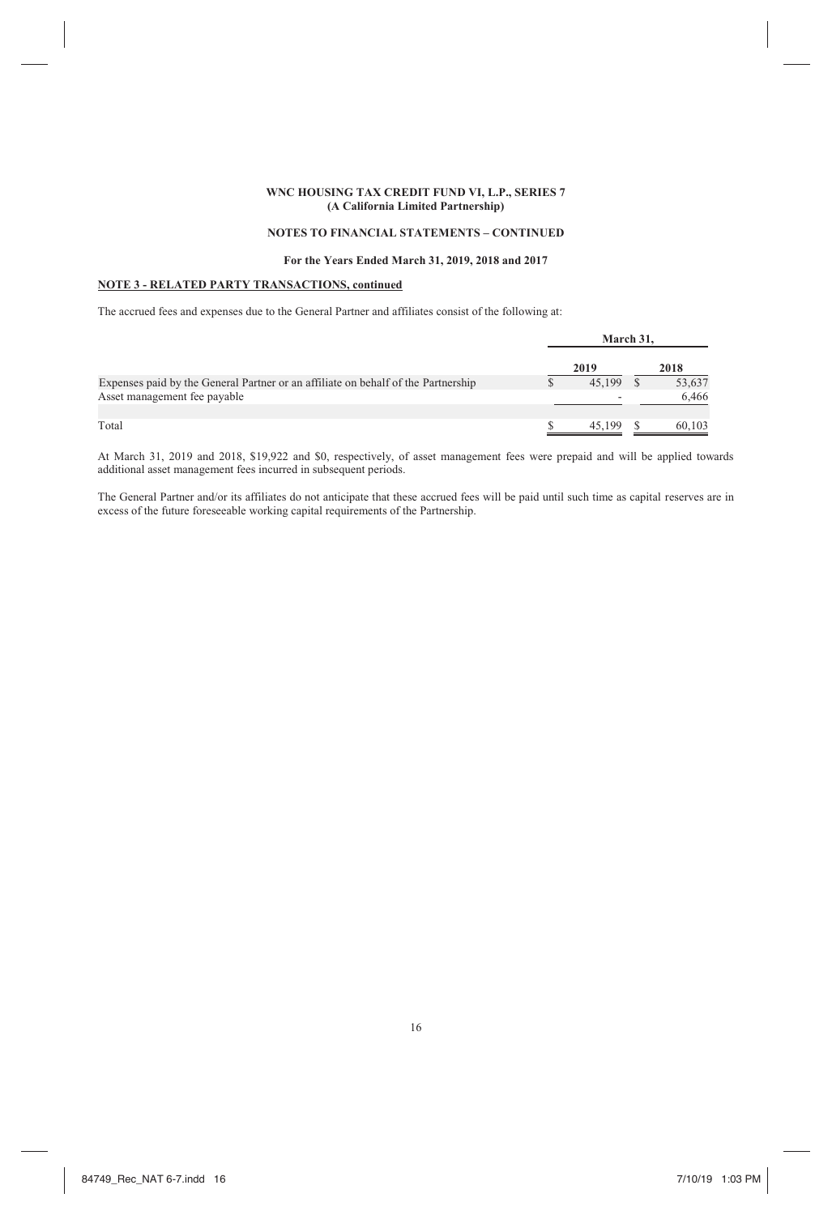# **NOTES TO FINANCIAL STATEMENTS – CONTINUED**

### **For the Years Ended March 31, 2019, 2018 and 2017**

# **NOTE 3 - RELATED PARTY TRANSACTIONS, continued**

The accrued fees and expenses due to the General Partner and affiliates consist of the following at:

|                                                                                   | March 31. |        |
|-----------------------------------------------------------------------------------|-----------|--------|
|                                                                                   | 2019      | 2018   |
| Expenses paid by the General Partner or an affiliate on behalf of the Partnership | 45.199    | 53,637 |
| Asset management fee payable                                                      | ۰         | 6.466  |
| Total                                                                             | 45.199    | 60.103 |

At March 31, 2019 and 2018, \$19,922 and \$0, respectively, of asset management fees were prepaid and will be applied towards additional asset management fees incurred in subsequent periods.

The General Partner and/or its affiliates do not anticipate that these accrued fees will be paid until such time as capital reserves are in excess of the future foreseeable working capital requirements of the Partnership.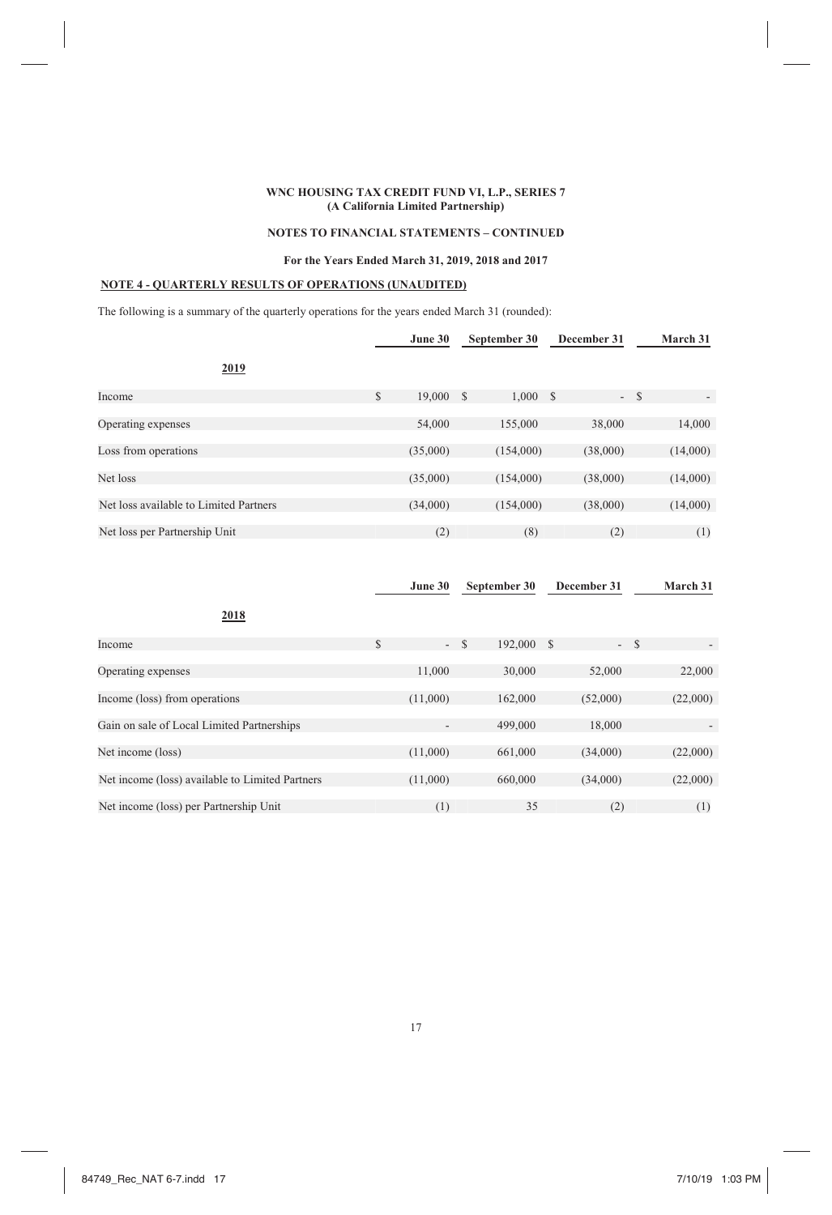# **NOTES TO FINANCIAL STATEMENTS – CONTINUED**

### **For the Years Ended March 31, 2019, 2018 and 2017**

# **NOTE 4 - QUARTERLY RESULTS OF OPERATIONS (UNAUDITED)**

The following is a summary of the quarterly operations for the years ended March 31 (rounded):

|                                        | June 30      |   | September 30 | December 31 |       | March 31                 |
|----------------------------------------|--------------|---|--------------|-------------|-------|--------------------------|
| 2019                                   |              |   |              |             |       |                          |
| Income                                 | \$<br>19,000 | S | 1,000 S      |             | $- S$ | $\overline{\phantom{a}}$ |
| Operating expenses                     | 54,000       |   | 155,000      | 38,000      |       | 14,000                   |
| Loss from operations                   | (35,000)     |   | (154,000)    | (38,000)    |       | (14,000)                 |
| Net loss                               | (35,000)     |   | (154,000)    | (38,000)    |       | (14,000)                 |
| Net loss available to Limited Partners | (34,000)     |   | (154,000)    | (38,000)    |       | (14,000)                 |
| Net loss per Partnership Unit          | (2)          |   | (8)          | (2)         |       | (1)                      |

|                                                 |              | June 30                  |       | September 30 | December 31 |       | March 31 |
|-------------------------------------------------|--------------|--------------------------|-------|--------------|-------------|-------|----------|
| 2018                                            |              |                          |       |              |             |       |          |
| Income                                          | $\mathbb{S}$ |                          | $- S$ | 192,000      | -S          | $- S$ |          |
|                                                 |              |                          |       |              |             |       |          |
| Operating expenses                              |              | 11,000                   |       | 30,000       | 52,000      |       | 22,000   |
|                                                 |              |                          |       |              |             |       |          |
| Income (loss) from operations                   |              | (11,000)                 |       | 162,000      | (52,000)    |       | (22,000) |
|                                                 |              |                          |       |              |             |       |          |
| Gain on sale of Local Limited Partnerships      |              | $\overline{\phantom{a}}$ |       | 499,000      | 18,000      |       |          |
|                                                 |              |                          |       |              |             |       |          |
| Net income (loss)                               |              | (11,000)                 |       | 661,000      | (34,000)    |       | (22,000) |
|                                                 |              |                          |       |              |             |       |          |
| Net income (loss) available to Limited Partners |              | (11,000)                 |       | 660,000      | (34,000)    |       | (22,000) |
|                                                 |              |                          |       |              |             |       |          |
| Net income (loss) per Partnership Unit          |              | (1)                      |       | 35           | (2)         |       | (1)      |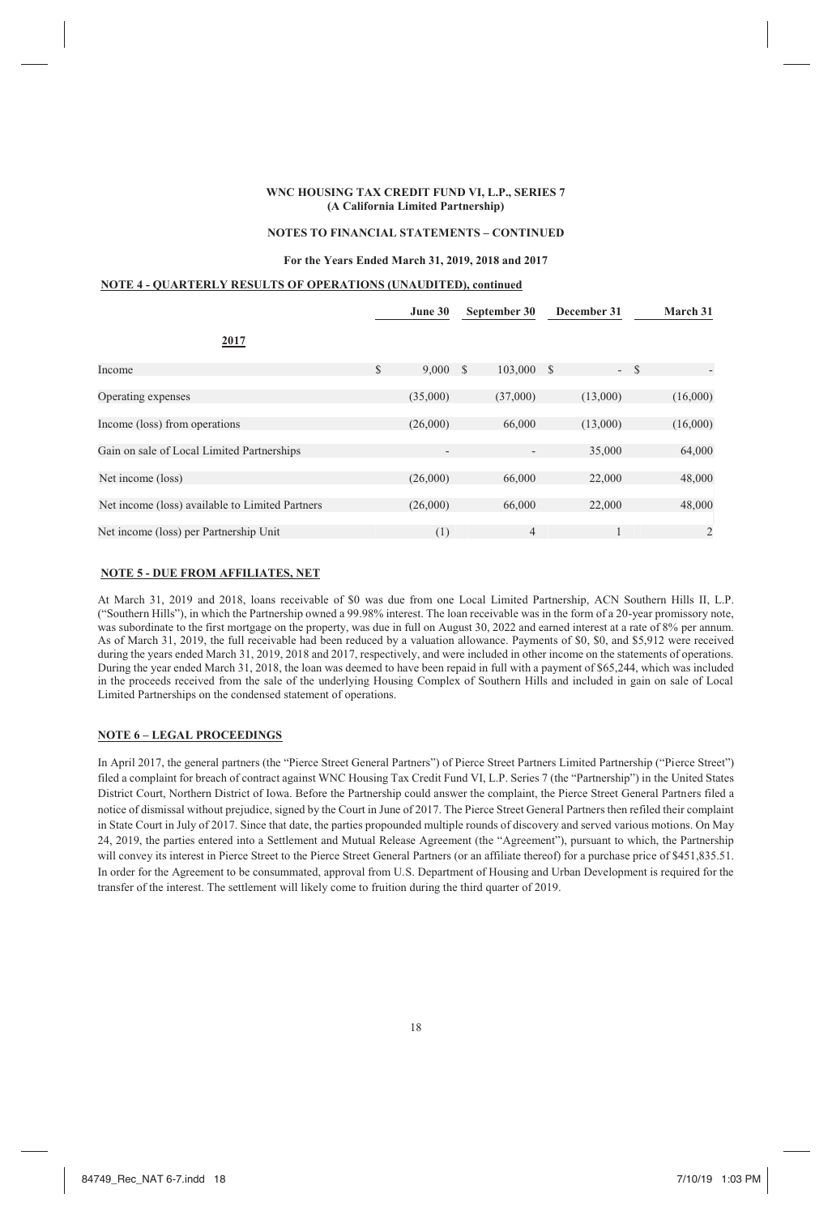#### **NOTES TO FINANCIAL STATEMENTS – CONTINUED**

### **For the Years Ended March 31, 2019, 2018 and 2017**

# **NOTE 4 - QUARTERLY RESULTS OF OPERATIONS (UNAUDITED), continued**

|                                                 | June 30                  | September 30   | December 31 | March 31                          |
|-------------------------------------------------|--------------------------|----------------|-------------|-----------------------------------|
| 2017                                            |                          |                |             |                                   |
| Income                                          | \$<br>9,000              | 103,000<br>S   | - \$        | $- S$<br>$\overline{\phantom{a}}$ |
| Operating expenses                              | (35,000)                 | (37,000)       | (13,000)    | (16,000)                          |
| Income (loss) from operations                   | (26,000)                 | 66,000         | (13,000)    | (16,000)                          |
| Gain on sale of Local Limited Partnerships      | $\overline{\phantom{a}}$ |                | 35,000      | 64,000                            |
| Net income (loss)                               | (26,000)                 | 66,000         | 22,000      | 48,000                            |
| Net income (loss) available to Limited Partners | (26,000)                 | 66,000         | 22,000      | 48,000                            |
| Net income (loss) per Partnership Unit          | (1)                      | $\overline{4}$ |             | 2                                 |

### **NOTE 5 - DUE FROM AFFILIATES, NET**

At March 31, 2019 and 2018, loans receivable of \$0 was due from one Local Limited Partnership, ACN Southern Hills II, L.P. ("Southern Hills"), in which the Partnership owned a 99.98% interest. The loan receivable was in the form of a 20-year promissory note, was subordinate to the first mortgage on the property, was due in full on August 30, 2022 and earned interest at a rate of 8% per annum. As of March 31, 2019, the full receivable had been reduced by a valuation allowance. Payments of \$0, \$0, and \$5,912 were received during the years ended March 31, 2019, 2018 and 2017, respectively, and were included in other income on the statements of operations. During the year ended March 31, 2018, the loan was deemed to have been repaid in full with a payment of \$65,244, which was included in the proceeds received from the sale of the underlying Housing Complex of Southern Hills and included in gain on sale of Local Limited Partnerships on the condensed statement of operations.

### **NOTE 6 – LEGAL PROCEEDINGS**

In April 2017, the general partners (the "Pierce Street General Partners") of Pierce Street Partners Limited Partnership ("Pierce Street") filed a complaint for breach of contract against WNC Housing Tax Credit Fund VI, L.P. Series 7 (the "Partnership") in the United States District Court, Northern District of Iowa. Before the Partnership could answer the complaint, the Pierce Street General Partners filed a notice of dismissal without prejudice, signed by the Court in June of 2017. The Pierce Street General Partners then refiled their complaint in State Court in July of 2017. Since that date, the parties propounded multiple rounds of discovery and served various motions. On May 24, 2019, the parties entered into a Settlement and Mutual Release Agreement (the "Agreement"), pursuant to which, the Partnership will convey its interest in Pierce Street to the Pierce Street General Partners (or an affiliate thereof) for a purchase price of \$451,835.51. In order for the Agreement to be consummated, approval from U.S. Department of Housing and Urban Development is required for the transfer of the interest. The settlement will likely come to fruition during the third quarter of 2019.